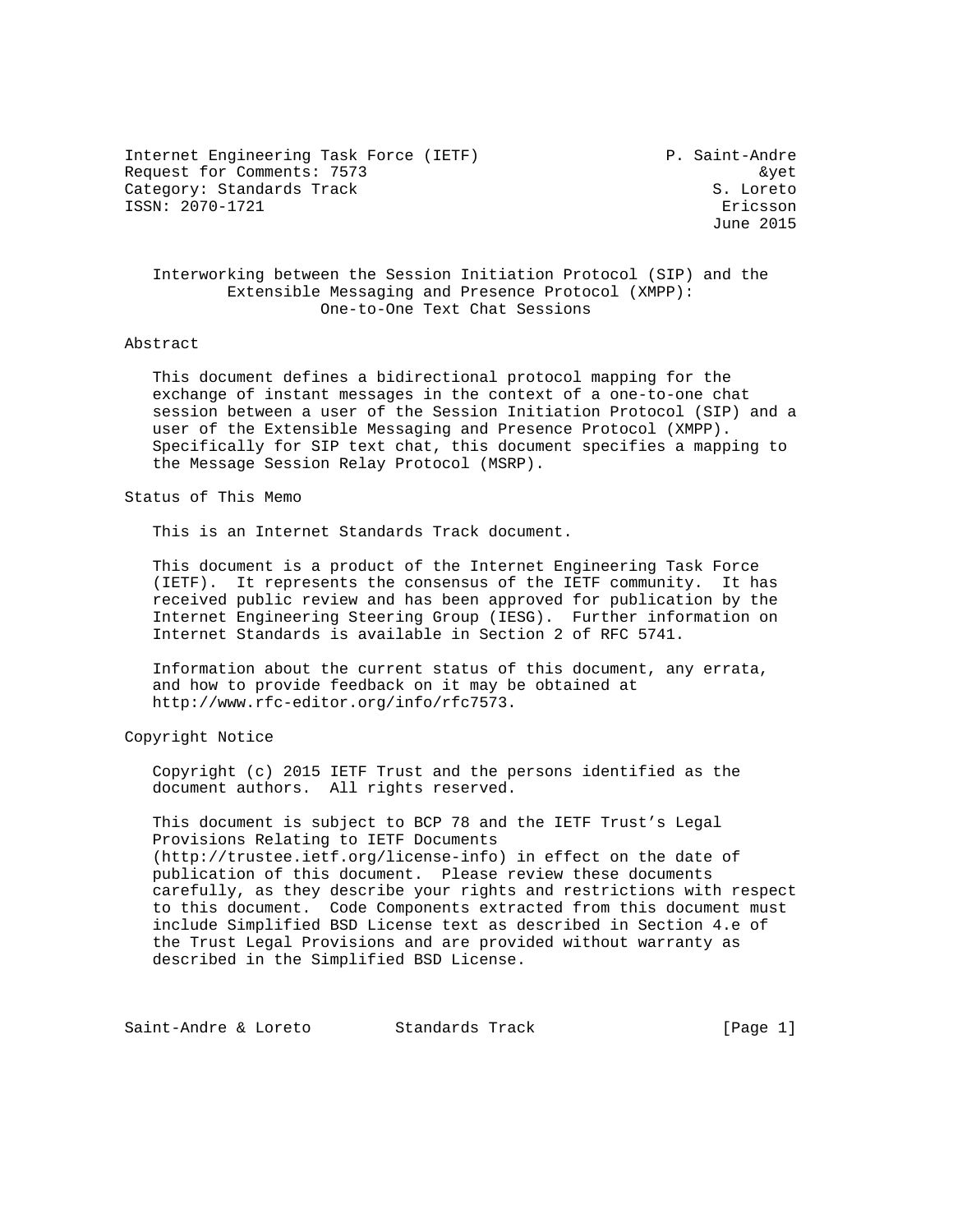Internet Engineering Task Force (IETF) P. Saint-Andre Request for Comments: 7573 &yet Category: Standards Track S. Loreto ISSN: 2070-1721 Ericsson

June 2015

 Interworking between the Session Initiation Protocol (SIP) and the Extensible Messaging and Presence Protocol (XMPP): One-to-One Text Chat Sessions

### Abstract

 This document defines a bidirectional protocol mapping for the exchange of instant messages in the context of a one-to-one chat session between a user of the Session Initiation Protocol (SIP) and a user of the Extensible Messaging and Presence Protocol (XMPP). Specifically for SIP text chat, this document specifies a mapping to the Message Session Relay Protocol (MSRP).

Status of This Memo

This is an Internet Standards Track document.

 This document is a product of the Internet Engineering Task Force (IETF). It represents the consensus of the IETF community. It has received public review and has been approved for publication by the Internet Engineering Steering Group (IESG). Further information on Internet Standards is available in Section 2 of RFC 5741.

 Information about the current status of this document, any errata, and how to provide feedback on it may be obtained at http://www.rfc-editor.org/info/rfc7573.

Copyright Notice

 Copyright (c) 2015 IETF Trust and the persons identified as the document authors. All rights reserved.

 This document is subject to BCP 78 and the IETF Trust's Legal Provisions Relating to IETF Documents (http://trustee.ietf.org/license-info) in effect on the date of publication of this document. Please review these documents carefully, as they describe your rights and restrictions with respect to this document. Code Components extracted from this document must include Simplified BSD License text as described in Section 4.e of the Trust Legal Provisions and are provided without warranty as described in the Simplified BSD License.

Saint-Andre & Loreto Standards Track [Page 1]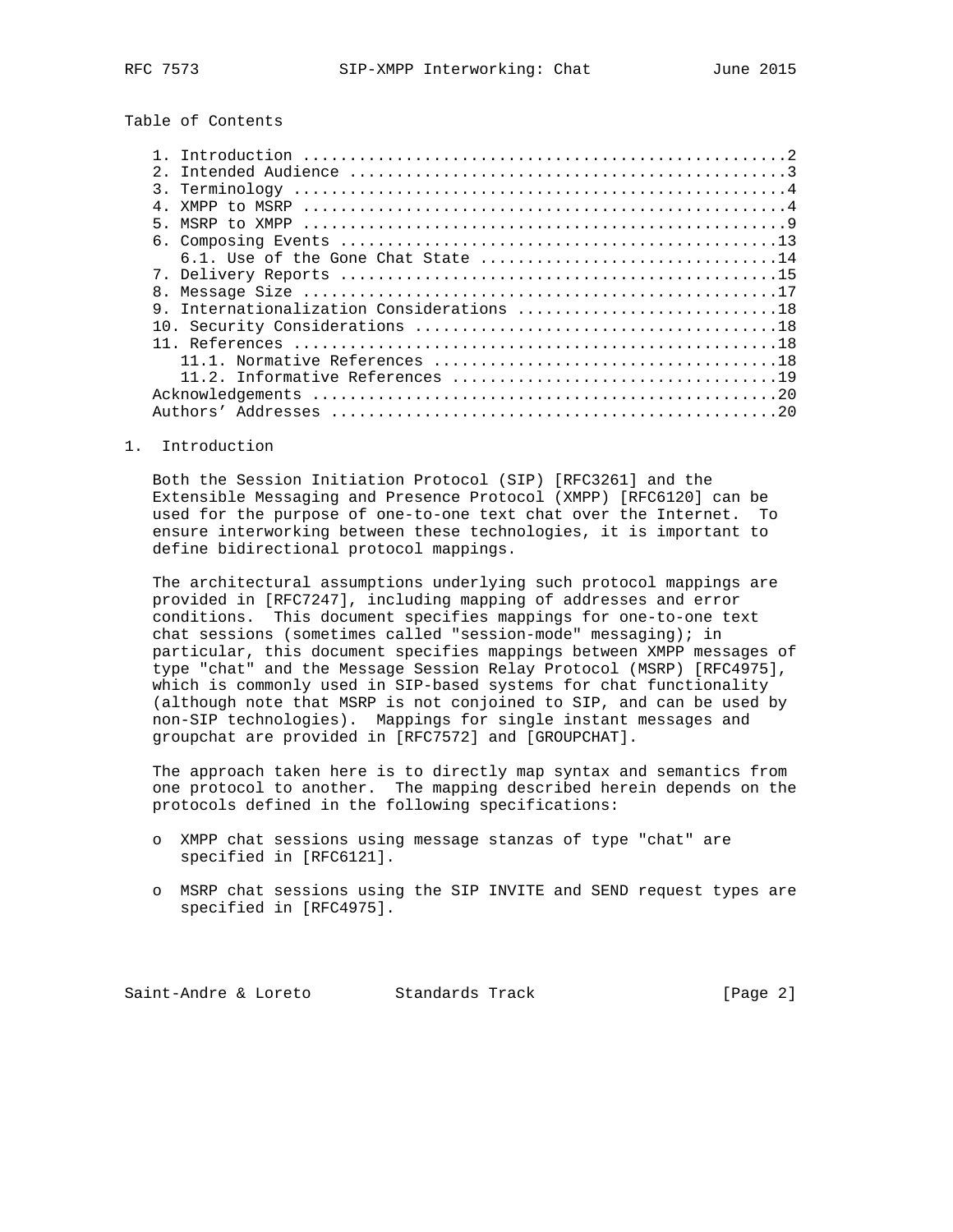## Table of Contents

| $2^{\circ}$                            |  |
|----------------------------------------|--|
|                                        |  |
|                                        |  |
|                                        |  |
|                                        |  |
| 6.1. Use of the Gone Chat State 14     |  |
|                                        |  |
|                                        |  |
| Internationalization Considerations 18 |  |
|                                        |  |
|                                        |  |
|                                        |  |
|                                        |  |
|                                        |  |
|                                        |  |

1. Introduction

 Both the Session Initiation Protocol (SIP) [RFC3261] and the Extensible Messaging and Presence Protocol (XMPP) [RFC6120] can be used for the purpose of one-to-one text chat over the Internet. To ensure interworking between these technologies, it is important to define bidirectional protocol mappings.

 The architectural assumptions underlying such protocol mappings are provided in [RFC7247], including mapping of addresses and error conditions. This document specifies mappings for one-to-one text chat sessions (sometimes called "session-mode" messaging); in particular, this document specifies mappings between XMPP messages of type "chat" and the Message Session Relay Protocol (MSRP) [RFC4975], which is commonly used in SIP-based systems for chat functionality (although note that MSRP is not conjoined to SIP, and can be used by non-SIP technologies). Mappings for single instant messages and groupchat are provided in [RFC7572] and [GROUPCHAT].

 The approach taken here is to directly map syntax and semantics from one protocol to another. The mapping described herein depends on the protocols defined in the following specifications:

- o XMPP chat sessions using message stanzas of type "chat" are specified in [RFC6121].
- o MSRP chat sessions using the SIP INVITE and SEND request types are specified in [RFC4975].

Saint-Andre & Loreto Standards Track (Page 2)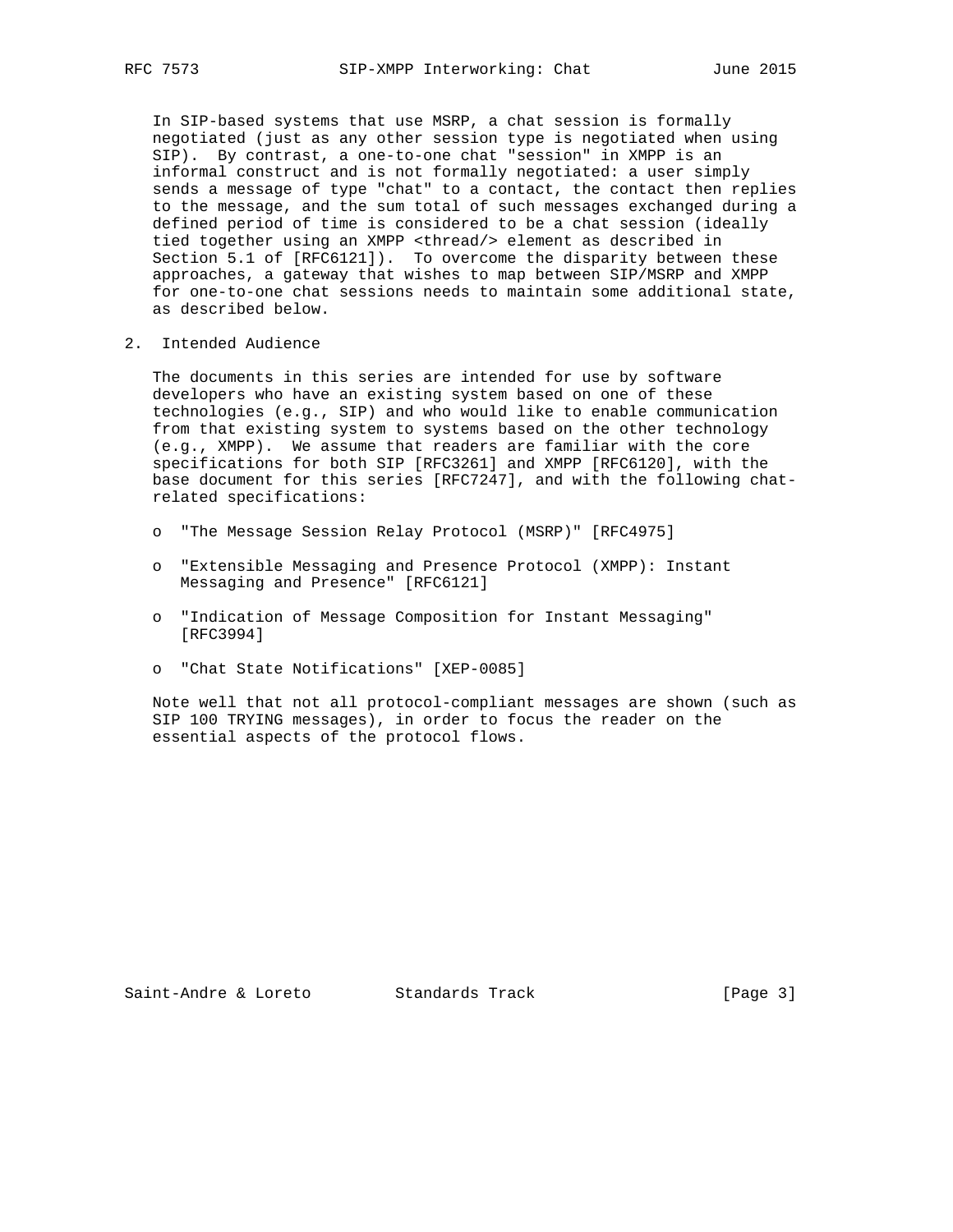In SIP-based systems that use MSRP, a chat session is formally negotiated (just as any other session type is negotiated when using SIP). By contrast, a one-to-one chat "session" in XMPP is an informal construct and is not formally negotiated: a user simply sends a message of type "chat" to a contact, the contact then replies to the message, and the sum total of such messages exchanged during a defined period of time is considered to be a chat session (ideally tied together using an XMPP <thread/> element as described in Section 5.1 of [RFC6121]). To overcome the disparity between these approaches, a gateway that wishes to map between SIP/MSRP and XMPP for one-to-one chat sessions needs to maintain some additional state, as described below.

2. Intended Audience

 The documents in this series are intended for use by software developers who have an existing system based on one of these technologies (e.g., SIP) and who would like to enable communication from that existing system to systems based on the other technology (e.g., XMPP). We assume that readers are familiar with the core specifications for both SIP [RFC3261] and XMPP [RFC6120], with the base document for this series [RFC7247], and with the following chat related specifications:

- o "The Message Session Relay Protocol (MSRP)" [RFC4975]
- o "Extensible Messaging and Presence Protocol (XMPP): Instant Messaging and Presence" [RFC6121]
- o "Indication of Message Composition for Instant Messaging" [RFC3994]
- o "Chat State Notifications" [XEP-0085]

 Note well that not all protocol-compliant messages are shown (such as SIP 100 TRYING messages), in order to focus the reader on the essential aspects of the protocol flows.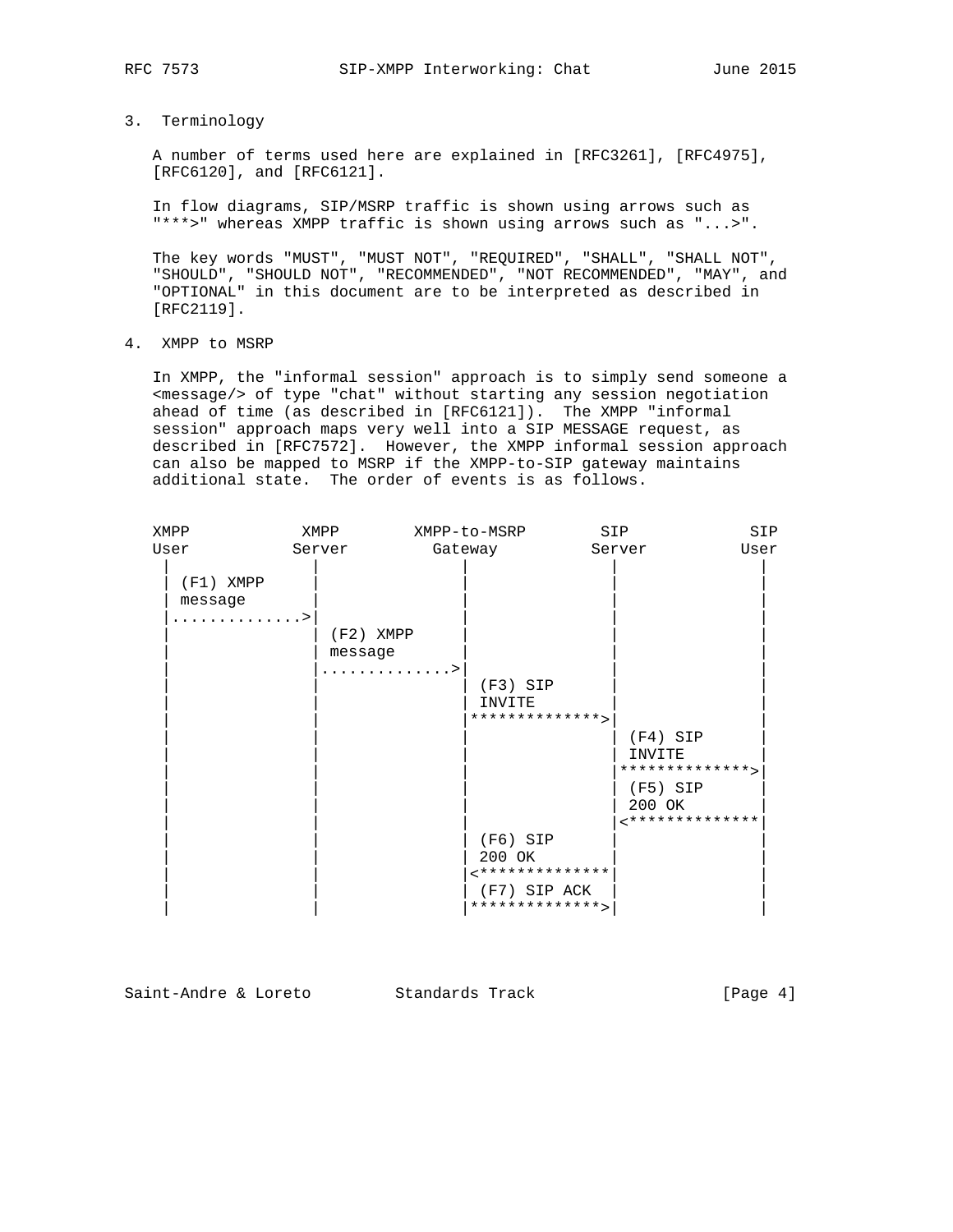3. Terminology

 A number of terms used here are explained in [RFC3261], [RFC4975], [RFC6120], and [RFC6121].

 In flow diagrams, SIP/MSRP traffic is shown using arrows such as "\*\*\*>" whereas XMPP traffic is shown using arrows such as "...>".

 The key words "MUST", "MUST NOT", "REQUIRED", "SHALL", "SHALL NOT", "SHOULD", "SHOULD NOT", "RECOMMENDED", "NOT RECOMMENDED", "MAY", and "OPTIONAL" in this document are to be interpreted as described in [RFC2119].

4. XMPP to MSRP

 In XMPP, the "informal session" approach is to simply send someone a <message/> of type "chat" without starting any session negotiation ahead of time (as described in [RFC6121]). The XMPP "informal session" approach maps very well into a SIP MESSAGE request, as described in [RFC7572]. However, the XMPP informal session approach can also be mapped to MSRP if the XMPP-to-SIP gateway maintains additional state. The order of events is as follows.

| XMPP |                               | XMPP   |                        | XMPP-to-MSRP                                     | SIP |                                        | SIP  |
|------|-------------------------------|--------|------------------------|--------------------------------------------------|-----|----------------------------------------|------|
| User |                               | Server |                        | Gateway                                          |     | Server                                 | User |
|      | $(F1)$ XMPP<br>message<br>. > |        |                        |                                                  |     |                                        |      |
|      |                               |        | $(F2)$ XMPP<br>message |                                                  |     |                                        |      |
|      |                               |        | . >                    | $(F3)$ SIP<br>INVITE                             |     |                                        |      |
|      |                               |        |                        | **************                                   |     |                                        |      |
|      |                               |        |                        |                                                  |     | $(F4)$ SIP<br>INVITE<br>************** |      |
|      |                               |        |                        |                                                  |     | $(F5)$ SIP<br>200 OK<br>************** |      |
|      |                               |        |                        | $(F6)$ SIP<br>200 OK                             |     |                                        |      |
|      |                               |        |                        | **************<br>(F7) SIP ACK<br>************** |     |                                        |      |

Saint-Andre & Loreto Standards Track [Page 4]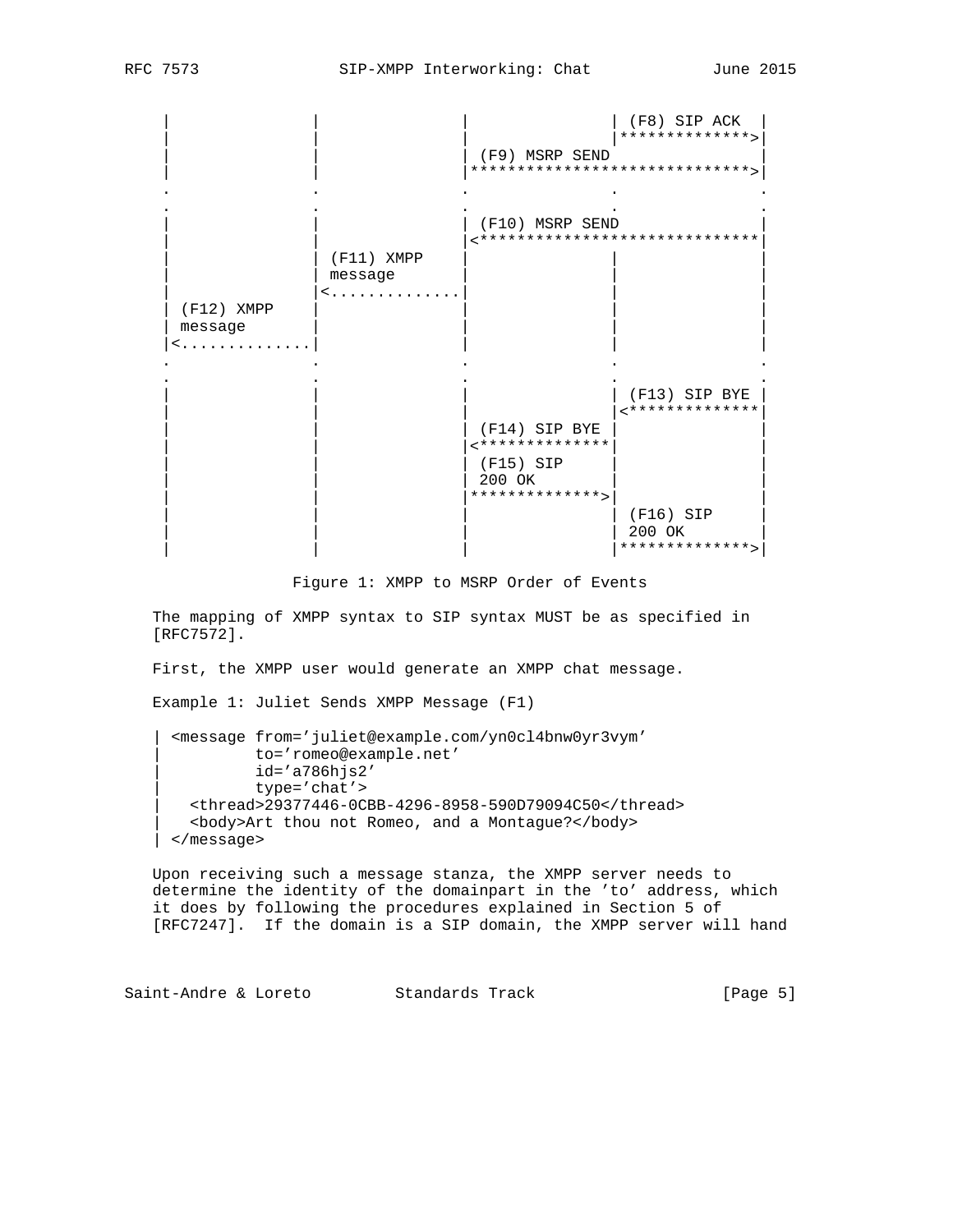|                              |                              | (F9) MSRP SEND<br>******************************                          | (F8) SIP ACK<br>**************                                            |
|------------------------------|------------------------------|---------------------------------------------------------------------------|---------------------------------------------------------------------------|
| $(F12)$ XMPP<br>message<br>< | $(F11)$ XMPP<br>message<br>< | (F10) MSRP SEND                                                           | ******************************                                            |
|                              |                              | (F14) SIP BYE<br><**************<br>(F15) SIP<br>200 OK<br>************** | (F13) SIP BYE<br>**************<br>(F16) SIP<br>200 OK<br>**************> |

Figure 1: XMPP to MSRP Order of Events

 The mapping of XMPP syntax to SIP syntax MUST be as specified in [RFC7572].

First, the XMPP user would generate an XMPP chat message.

Example 1: Juliet Sends XMPP Message (F1)

 | <message from='juliet@example.com/yn0cl4bnw0yr3vym' | to='romeo@example.net' | id='a786hjs2' | type='chat'> | <thread>29377446-0CBB-4296-8958-590D79094C50</thread> | <body>Art thou not Romeo, and a Montague?</body> | </message>

 Upon receiving such a message stanza, the XMPP server needs to determine the identity of the domainpart in the 'to' address, which it does by following the procedures explained in Section 5 of [RFC7247]. If the domain is a SIP domain, the XMPP server will hand

Saint-Andre & Loreto Standards Track [Page 5]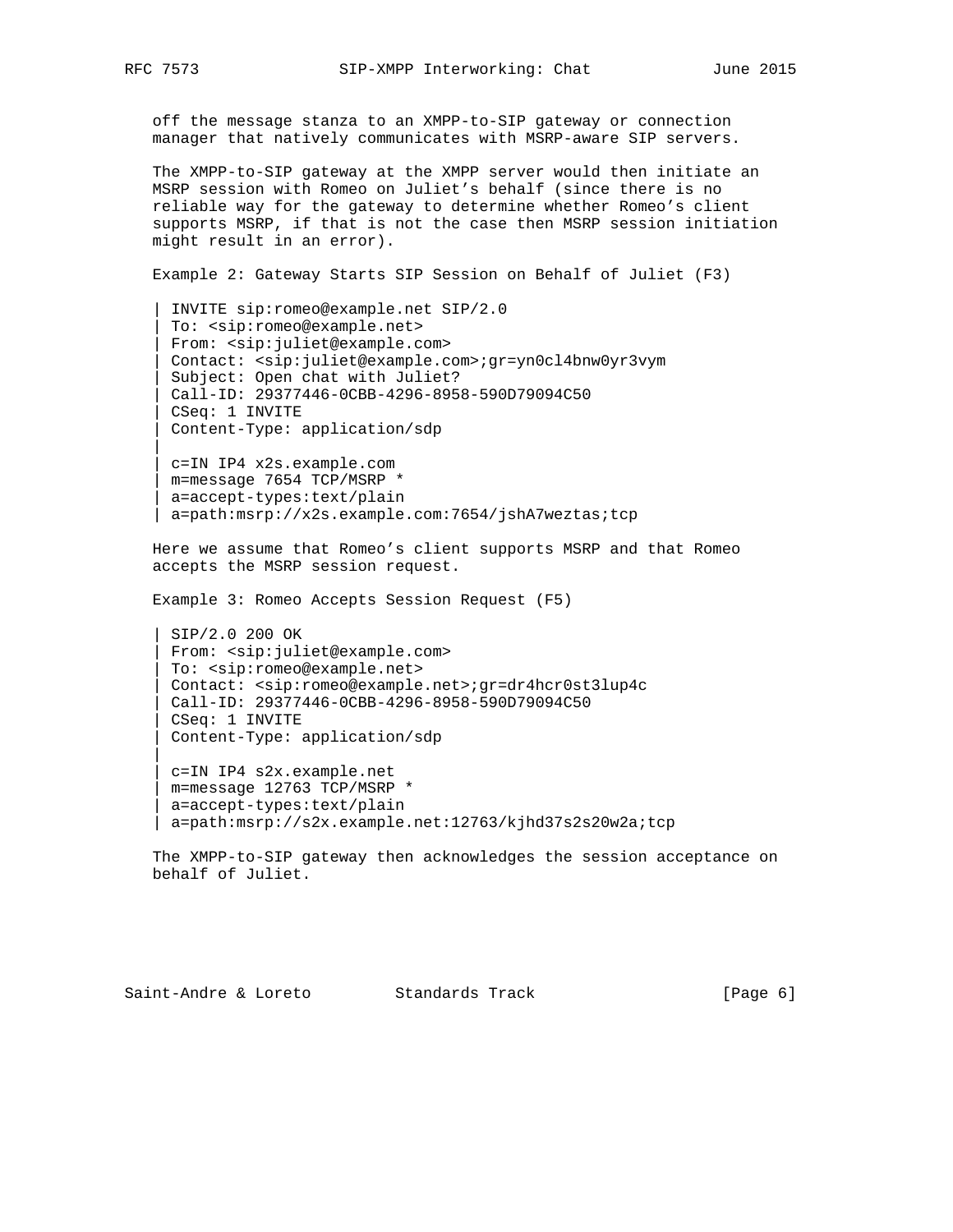|| || || ||

|| || || ||

 off the message stanza to an XMPP-to-SIP gateway or connection manager that natively communicates with MSRP-aware SIP servers.

 The XMPP-to-SIP gateway at the XMPP server would then initiate an MSRP session with Romeo on Juliet's behalf (since there is no reliable way for the gateway to determine whether Romeo's client supports MSRP, if that is not the case then MSRP session initiation might result in an error).

Example 2: Gateway Starts SIP Session on Behalf of Juliet (F3)

 | INVITE sip:romeo@example.net SIP/2.0 | To: <sip:romeo@example.net> | From: <sip:juliet@example.com> | Contact: <sip:juliet@example.com>;gr=yn0cl4bnw0yr3vym Subject: Open chat with Juliet? | Call-ID: 29377446-0CBB-4296-8958-590D79094C50 | CSeq: 1 INVITE | Content-Type: application/sdp

 | c=IN IP4 x2s.example.com | m=message 7654 TCP/MSRP \* | a=accept-types:text/plain | a=path:msrp://x2s.example.com:7654/jshA7weztas;tcp

 Here we assume that Romeo's client supports MSRP and that Romeo accepts the MSRP session request.

Example 3: Romeo Accepts Session Request (F5)

 | SIP/2.0 200 OK | From: <sip:juliet@example.com> | To: <sip:romeo@example.net> | Contact: <sip:romeo@example.net>;gr=dr4hcr0st3lup4c | Call-ID: 29377446-0CBB-4296-8958-590D79094C50 | CSeq: 1 INVITE | Content-Type: application/sdp

 | c=IN IP4 s2x.example.net | m=message 12763 TCP/MSRP \* | a=accept-types:text/plain | a=path:msrp://s2x.example.net:12763/kjhd37s2s20w2a;tcp

 The XMPP-to-SIP gateway then acknowledges the session acceptance on behalf of Juliet.

Saint-Andre & Loreto Standards Track (Page 6)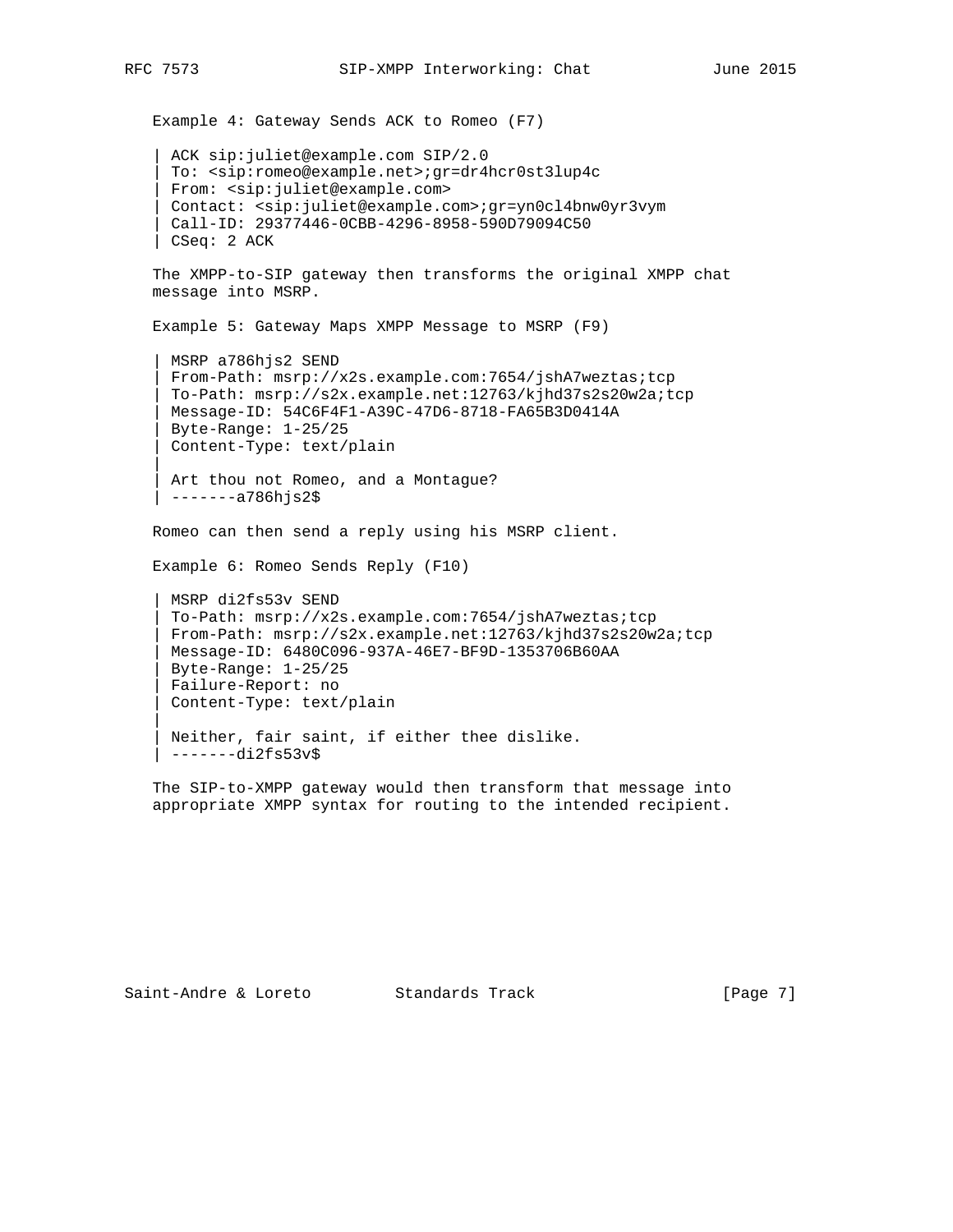```
 Example 4: Gateway Sends ACK to Romeo (F7)
```

```
 | ACK sip:juliet@example.com SIP/2.0
 | To: <sip:romeo@example.net>;gr=dr4hcr0st3lup4c
 | From: <sip:juliet@example.com>
 | Contact: <sip:juliet@example.com>;gr=yn0cl4bnw0yr3vym
 | Call-ID: 29377446-0CBB-4296-8958-590D79094C50
 | CSeq: 2 ACK
```

```
 The XMPP-to-SIP gateway then transforms the original XMPP chat
 message into MSRP.
```
Example 5: Gateway Maps XMPP Message to MSRP (F9)

```
 | MSRP a786hjs2 SEND
 | From-Path: msrp://x2s.example.com:7654/jshA7weztas;tcp
  | To-Path: msrp://s2x.example.net:12763/kjhd37s2s20w2a;tcp
 | Message-ID: 54C6F4F1-A39C-47D6-8718-FA65B3D0414A
 | Byte-Range: 1-25/25
 | Content-Type: text/plain
```
Art thou not Romeo, and a Montague? | -------a786hjs2\$

Romeo can then send a reply using his MSRP client.

```
 Example 6: Romeo Sends Reply (F10)
```

```
 | MSRP di2fs53v SEND
  | To-Path: msrp://x2s.example.com:7654/jshA7weztas;tcp
 | From-Path: msrp://s2x.example.net:12763/kjhd37s2s20w2a;tcp
 | Message-ID: 6480C096-937A-46E7-BF9D-1353706B60AA
 | Byte-Range: 1-25/25
 | Failure-Report: no
 | Content-Type: text/plain
```

```
 | Neither, fair saint, if either thee dislike.
 | -------di2fs53v$
```
 The SIP-to-XMPP gateway would then transform that message into appropriate XMPP syntax for routing to the intended recipient.

|| ||

|| ||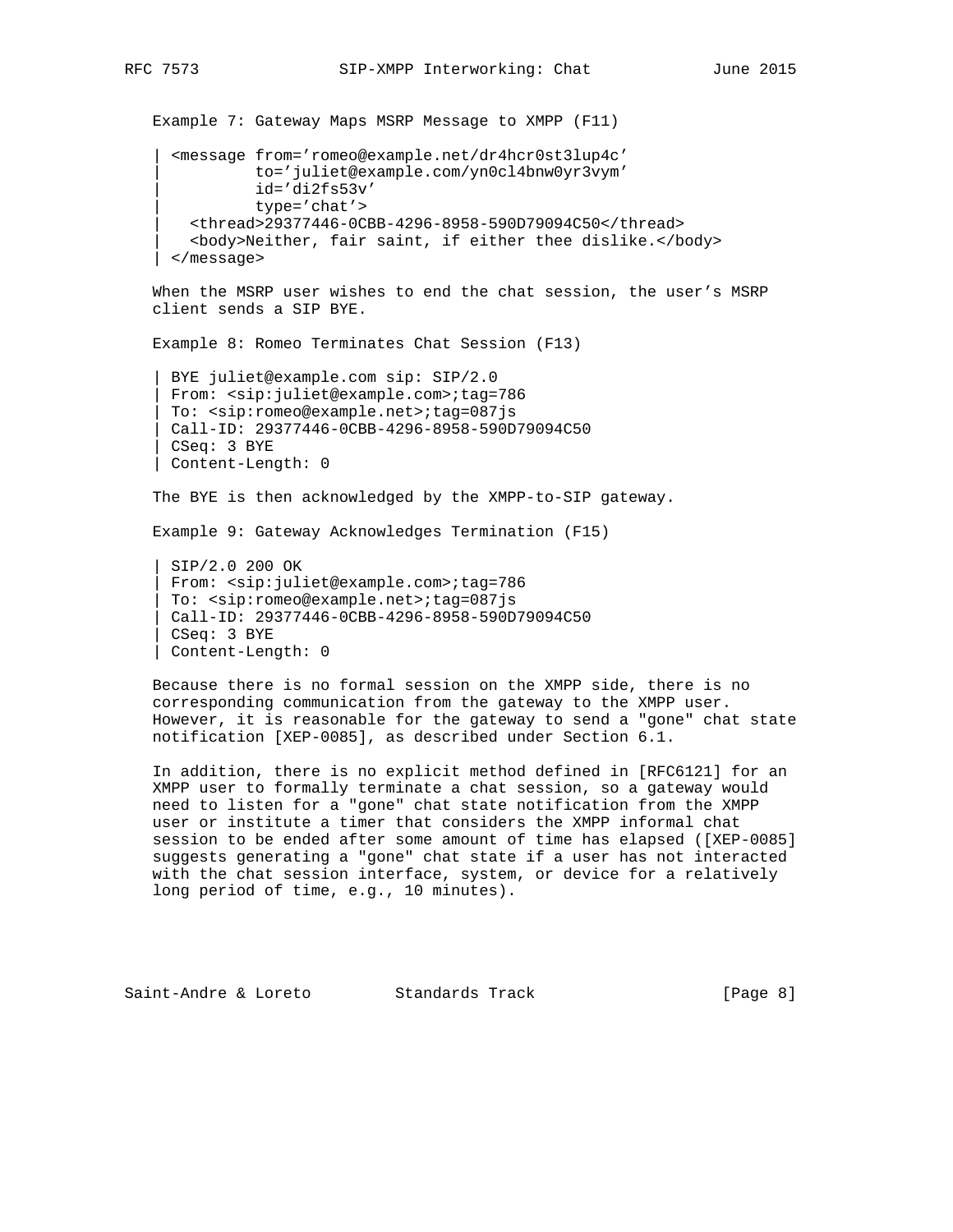Example 7: Gateway Maps MSRP Message to XMPP (F11) | <message from='romeo@example.net/dr4hcr0st3lup4c' | to='juliet@example.com/yn0cl4bnw0yr3vym' | id='di2fs53v' | type='chat'> | <thread>29377446-0CBB-4296-8958-590D79094C50</thread> | <body>Neither, fair saint, if either thee dislike.</body> | </message>

 When the MSRP user wishes to end the chat session, the user's MSRP client sends a SIP BYE.

Example 8: Romeo Terminates Chat Session (F13)

 | BYE juliet@example.com sip: SIP/2.0 | From: <sip:juliet@example.com>;tag=786 | To: <sip:romeo@example.net>;tag=087js | Call-ID: 29377446-0CBB-4296-8958-590D79094C50 | CSeq: 3 BYE | Content-Length: 0

The BYE is then acknowledged by the XMPP-to-SIP gateway.

Example 9: Gateway Acknowledges Termination (F15)

 | SIP/2.0 200 OK | From: <sip:juliet@example.com>;tag=786 | To: <sip:romeo@example.net>;tag=087js | Call-ID: 29377446-0CBB-4296-8958-590D79094C50 | CSeq: 3 BYE | Content-Length: 0

 Because there is no formal session on the XMPP side, there is no corresponding communication from the gateway to the XMPP user. However, it is reasonable for the gateway to send a "gone" chat state notification [XEP-0085], as described under Section 6.1.

 In addition, there is no explicit method defined in [RFC6121] for an XMPP user to formally terminate a chat session, so a gateway would need to listen for a "gone" chat state notification from the XMPP user or institute a timer that considers the XMPP informal chat session to be ended after some amount of time has elapsed ([XEP-0085] suggests generating a "gone" chat state if a user has not interacted with the chat session interface, system, or device for a relatively long period of time, e.g., 10 minutes).

Saint-Andre & Loreto Standards Track [Page 8]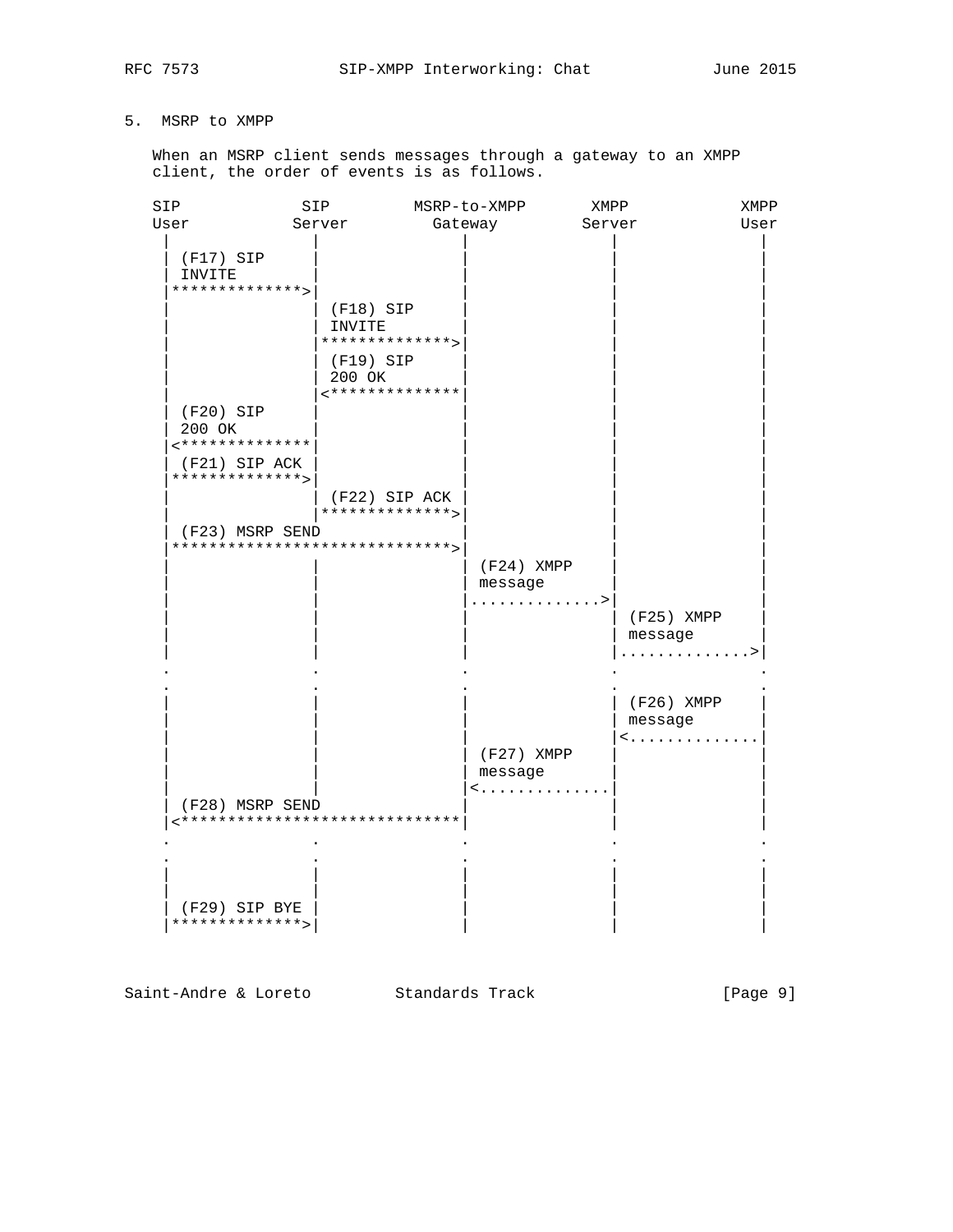# 5. MSRP to XMPP

 When an MSRP client sends messages through a gateway to an XMPP client, the order of events is as follows.

| SIP  |                                  | SIP         |                 | MSRP-to-XMPP | XMPP   |              | XMPP |
|------|----------------------------------|-------------|-----------------|--------------|--------|--------------|------|
| User |                                  | Server      |                 | Gateway      | Server |              | User |
|      | (F17) SIP<br>INVITE              |             |                 |              |        |              |      |
|      | **************>                  |             |                 |              |        |              |      |
|      |                                  | $(F18)$ SIP |                 |              |        |              |      |
|      |                                  | INVITE      |                 |              |        |              |      |
|      |                                  |             | **************> |              |        |              |      |
|      |                                  | (F19) SIP   |                 |              |        |              |      |
|      |                                  | 200 OK      |                 |              |        |              |      |
|      |                                  |             | <************** |              |        |              |      |
|      | (F20) SIP                        |             |                 |              |        |              |      |
|      | 200 OK<br>**************         |             |                 |              |        |              |      |
|      |                                  |             |                 |              |        |              |      |
|      | (F21) SIP ACK<br>**************> |             |                 |              |        |              |      |
|      |                                  |             | (F22) SIP ACK   |              |        |              |      |
|      |                                  |             | **************> |              |        |              |      |
|      | (F23) MSRP SEND                  |             |                 |              |        |              |      |
|      | ******************************   |             |                 |              |        |              |      |
|      |                                  |             |                 | $(F24)$ XMPP |        |              |      |
|      |                                  |             |                 | message      |        |              |      |
|      |                                  |             |                 | . >          |        |              |      |
|      |                                  |             |                 |              |        | $(F25)$ XMPP |      |
|      |                                  |             |                 |              |        | message      |      |
|      |                                  |             |                 |              |        | .            |      |
|      |                                  |             |                 |              |        |              |      |
|      |                                  |             |                 |              |        | (F26) XMPP   |      |
|      |                                  |             |                 |              |        | message      |      |
|      |                                  |             |                 |              |        | <            |      |
|      |                                  |             |                 | (F27) XMPP   |        |              |      |
|      |                                  |             |                 | message      |        |              |      |
|      |                                  |             |                 | $\leq$ .     |        |              |      |
|      | (F28) MSRP SEND                  |             |                 |              |        |              |      |
|      | <*****************************   |             |                 |              |        |              |      |
|      |                                  |             |                 |              |        |              |      |
|      |                                  |             |                 |              |        |              |      |
|      |                                  |             |                 |              |        |              |      |
|      |                                  |             |                 |              |        |              |      |
|      | (F29) SIP BYE<br>**************> |             |                 |              |        |              |      |
|      |                                  |             |                 |              |        |              |      |

Saint-Andre & Loreto Standards Track [Page 9]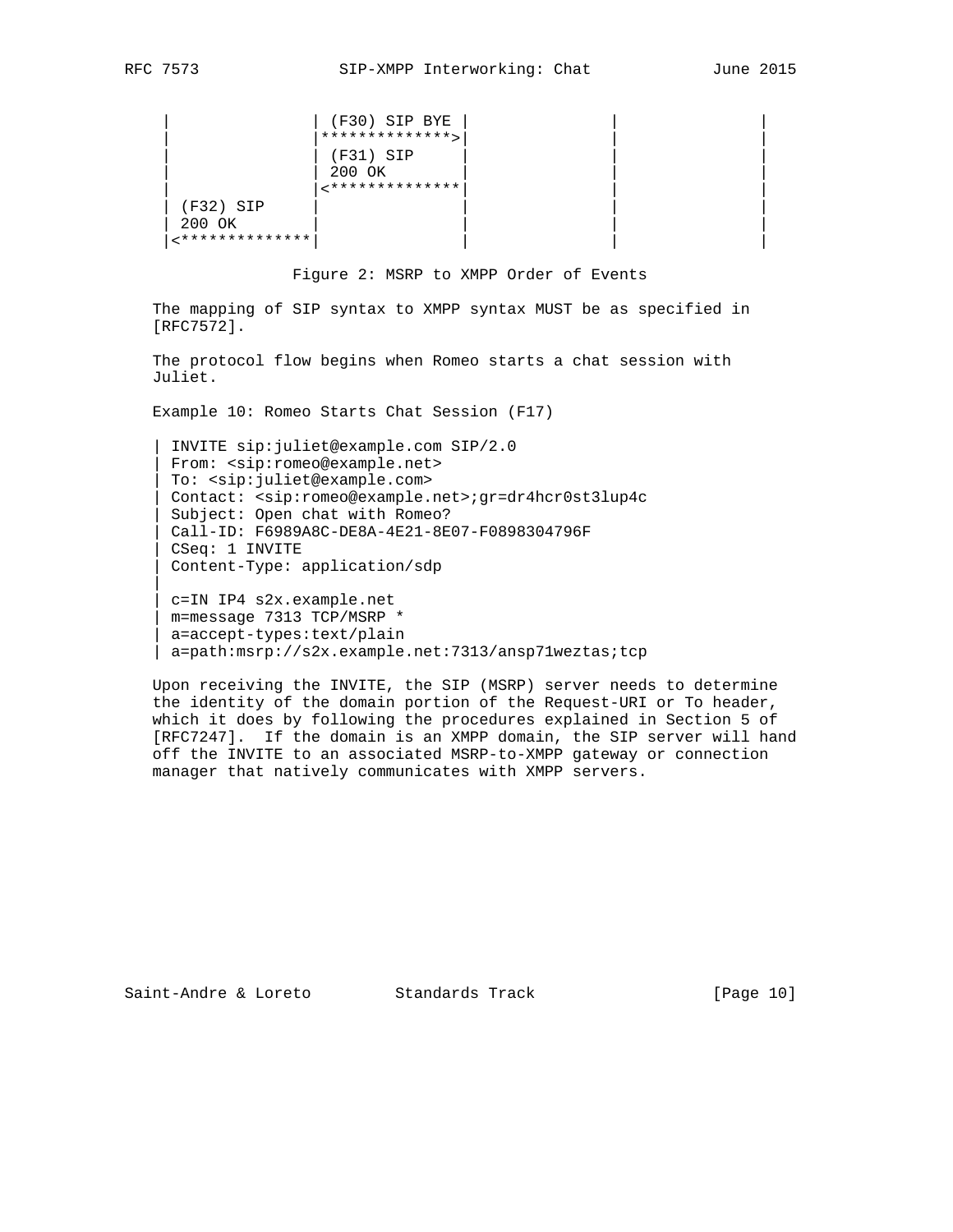|| || || ||

```
| (F30) SIP BYE
                       *************>
                       (F31) SIP
                       200 OK
                       \left\{ \texttt{******************} \right.(F32) SIP
 | 200 OK | | | |
 |<**************| | | |
```
Figure 2: MSRP to XMPP Order of Events

 The mapping of SIP syntax to XMPP syntax MUST be as specified in [RFC7572].

 The protocol flow begins when Romeo starts a chat session with Juliet.

Example 10: Romeo Starts Chat Session (F17)

 | INVITE sip:juliet@example.com SIP/2.0 | From: <sip:romeo@example.net> | To: <sip:juliet@example.com> | Contact: <sip:romeo@example.net>;gr=dr4hcr0st3lup4c Subject: Open chat with Romeo? | Call-ID: F6989A8C-DE8A-4E21-8E07-F0898304796F | CSeq: 1 INVITE | Content-Type: application/sdp

 | c=IN IP4 s2x.example.net | m=message 7313 TCP/MSRP \* | a=accept-types:text/plain | a=path:msrp://s2x.example.net:7313/ansp71weztas;tcp

 Upon receiving the INVITE, the SIP (MSRP) server needs to determine the identity of the domain portion of the Request-URI or To header, which it does by following the procedures explained in Section 5 of [RFC7247]. If the domain is an XMPP domain, the SIP server will hand off the INVITE to an associated MSRP-to-XMPP gateway or connection manager that natively communicates with XMPP servers.

Saint-Andre & Loreto Standards Track [Page 10]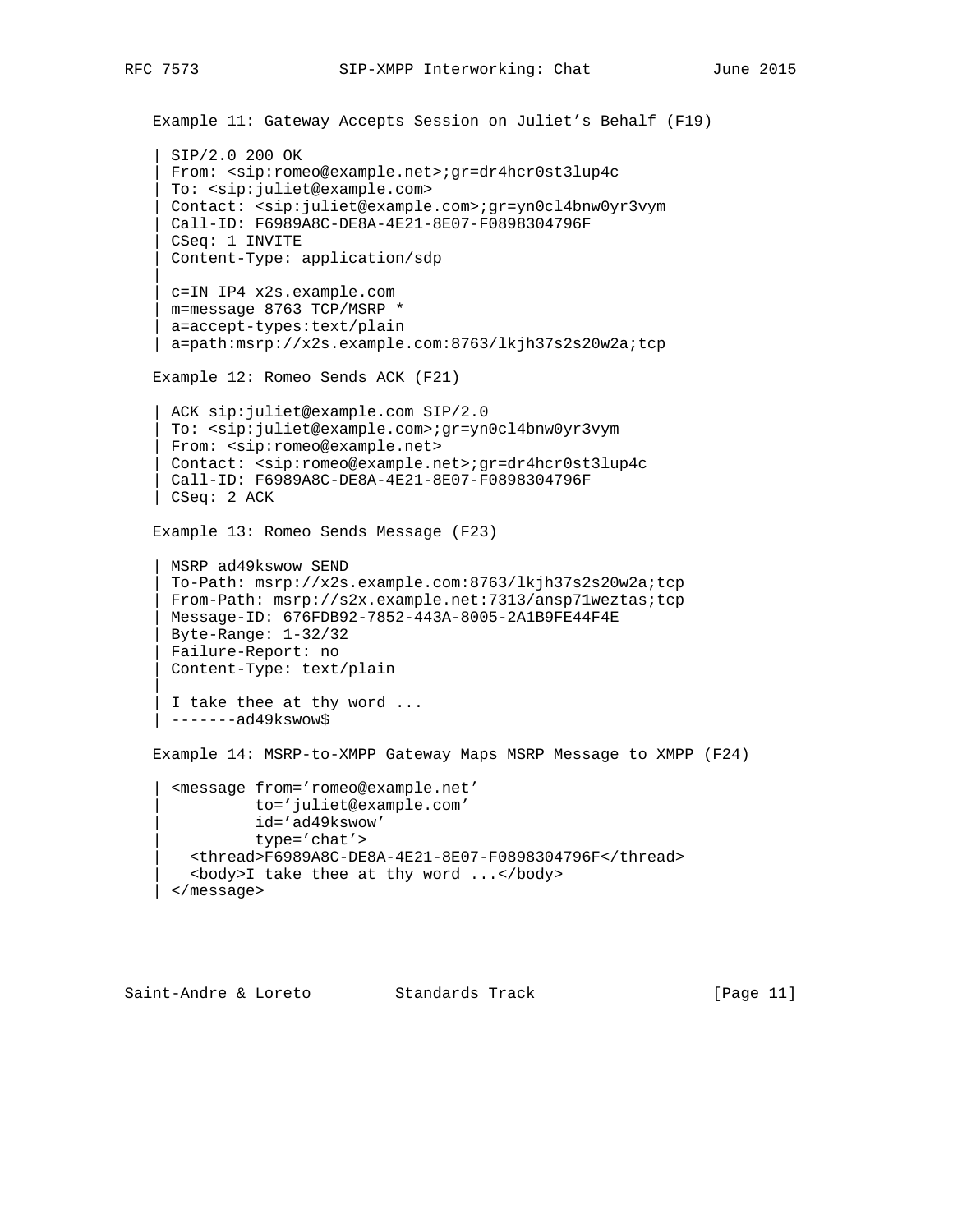```
 Example 11: Gateway Accepts Session on Juliet's Behalf (F19)
    | SIP/2.0 200 OK
     | From: <sip:romeo@example.net>;gr=dr4hcr0st3lup4c
     | To: <sip:juliet@example.com>
     | Contact: <sip:juliet@example.com>;gr=yn0cl4bnw0yr3vym
     | Call-ID: F6989A8C-DE8A-4E21-8E07-F0898304796F
     | CSeq: 1 INVITE
     | Content-Type: application/sdp
|| || || ||
     | c=IN IP4 x2s.example.com
     | m=message 8763 TCP/MSRP *
    a=accept-types:text/plain
    | a=path:msrp://x2s.example.com:8763/lkjh37s2s20w2a;tcp
    Example 12: Romeo Sends ACK (F21)
   ACK sip: juliet@example.com SIP/2.0
     | To: <sip:juliet@example.com>;gr=yn0cl4bnw0yr3vym
     | From: <sip:romeo@example.net>
     | Contact: <sip:romeo@example.net>;gr=dr4hcr0st3lup4c
    | Call-ID: F6989A8C-DE8A-4E21-8E07-F0898304796F
    | CSeq: 2 ACK
    Example 13: Romeo Sends Message (F23)
    | MSRP ad49kswow SEND
     | To-Path: msrp://x2s.example.com:8763/lkjh37s2s20w2a;tcp
     | From-Path: msrp://s2x.example.net:7313/ansp71weztas;tcp
     | Message-ID: 676FDB92-7852-443A-8005-2A1B9FE44F4E
     | Byte-Range: 1-32/32
     | Failure-Report: no
     | Content-Type: text/plain
|| || || ||
    I take thee at thy word ...
    | -------ad49kswow$
    Example 14: MSRP-to-XMPP Gateway Maps MSRP Message to XMPP (F24)
      | <message from='romeo@example.net'
               | to='juliet@example.com'
               | id='ad49kswow'
               | type='chat'>
       | <thread>F6989A8C-DE8A-4E21-8E07-F0898304796F</thread>
        | <body>I take thee at thy word ...</body>
      | </message>
```
Saint-Andre & Loreto Standards Track [Page 11]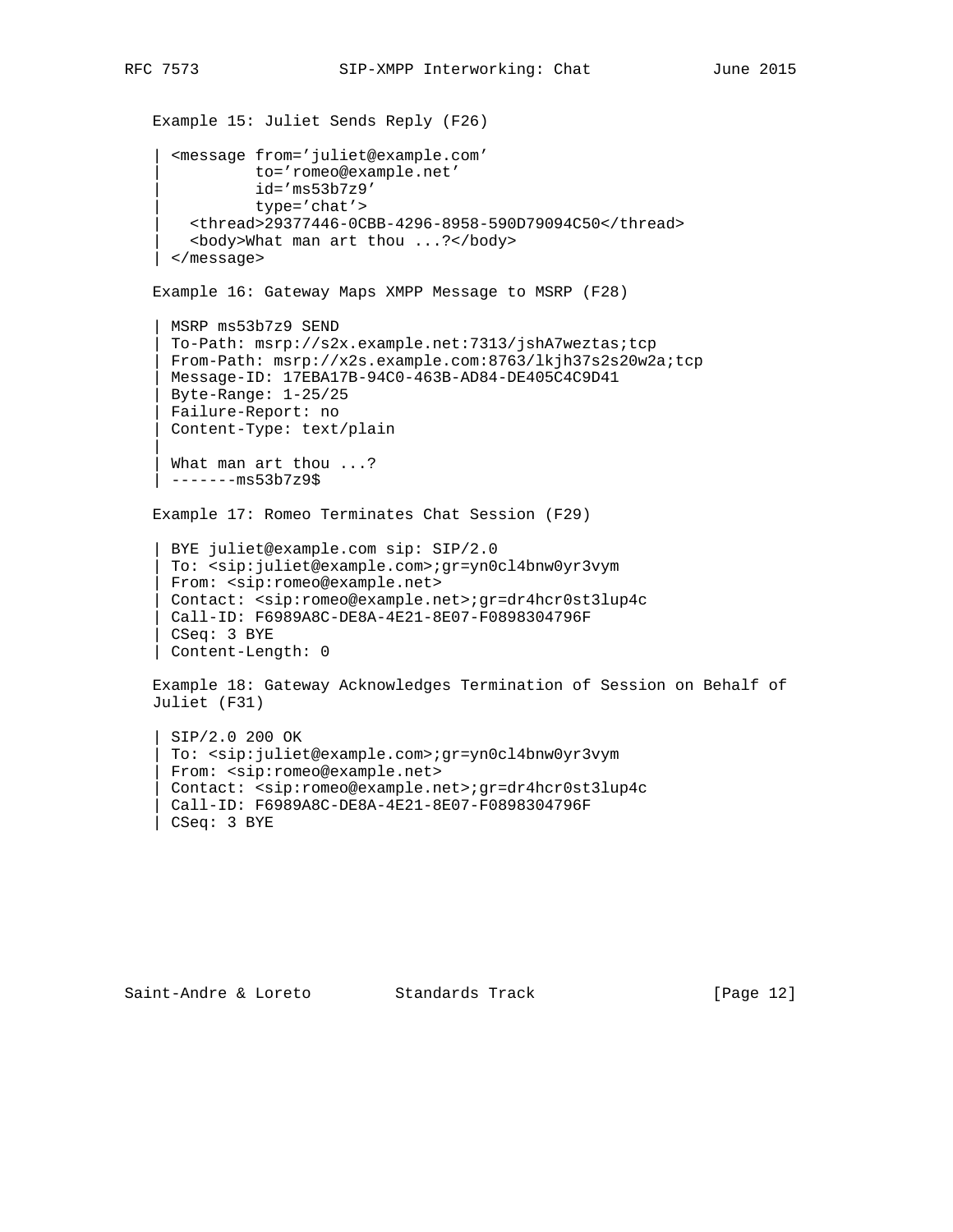```
 Example 15: Juliet Sends Reply (F26)
      | <message from='juliet@example.com'
               | to='romeo@example.net'
               | id='ms53b7z9'
               | type='chat'>
        | <thread>29377446-0CBB-4296-8958-590D79094C50</thread>
        | <body>What man art thou ...?</body>
      | </message>
    Example 16: Gateway Maps XMPP Message to MSRP (F28)
    | MSRP ms53b7z9 SEND
     | To-Path: msrp://s2x.example.net:7313/jshA7weztas;tcp
     | From-Path: msrp://x2s.example.com:8763/lkjh37s2s20w2a;tcp
     | Message-ID: 17EBA17B-94C0-463B-AD84-DE405C4C9D41
     | Byte-Range: 1-25/25
     | Failure-Report: no
     | Content-Type: text/plain
|| || || ||
    What man art thou ...?
     | -------ms53b7z9$
    Example 17: Romeo Terminates Chat Session (F29)
     | BYE juliet@example.com sip: SIP/2.0
     | To: <sip:juliet@example.com>;gr=yn0cl4bnw0yr3vym
     | From: <sip:romeo@example.net>
     | Contact: <sip:romeo@example.net>;gr=dr4hcr0st3lup4c
     | Call-ID: F6989A8C-DE8A-4E21-8E07-F0898304796F
     | CSeq: 3 BYE
    | Content-Length: 0
   Example 18: Gateway Acknowledges Termination of Session on Behalf of
    Juliet (F31)
    | SIP/2.0 200 OK
     | To: <sip:juliet@example.com>;gr=yn0cl4bnw0yr3vym
     | From: <sip:romeo@example.net>
     | Contact: <sip:romeo@example.net>;gr=dr4hcr0st3lup4c
     | Call-ID: F6989A8C-DE8A-4E21-8E07-F0898304796F
     | CSeq: 3 BYE
```
Saint-Andre & Loreto Standards Track [Page 12]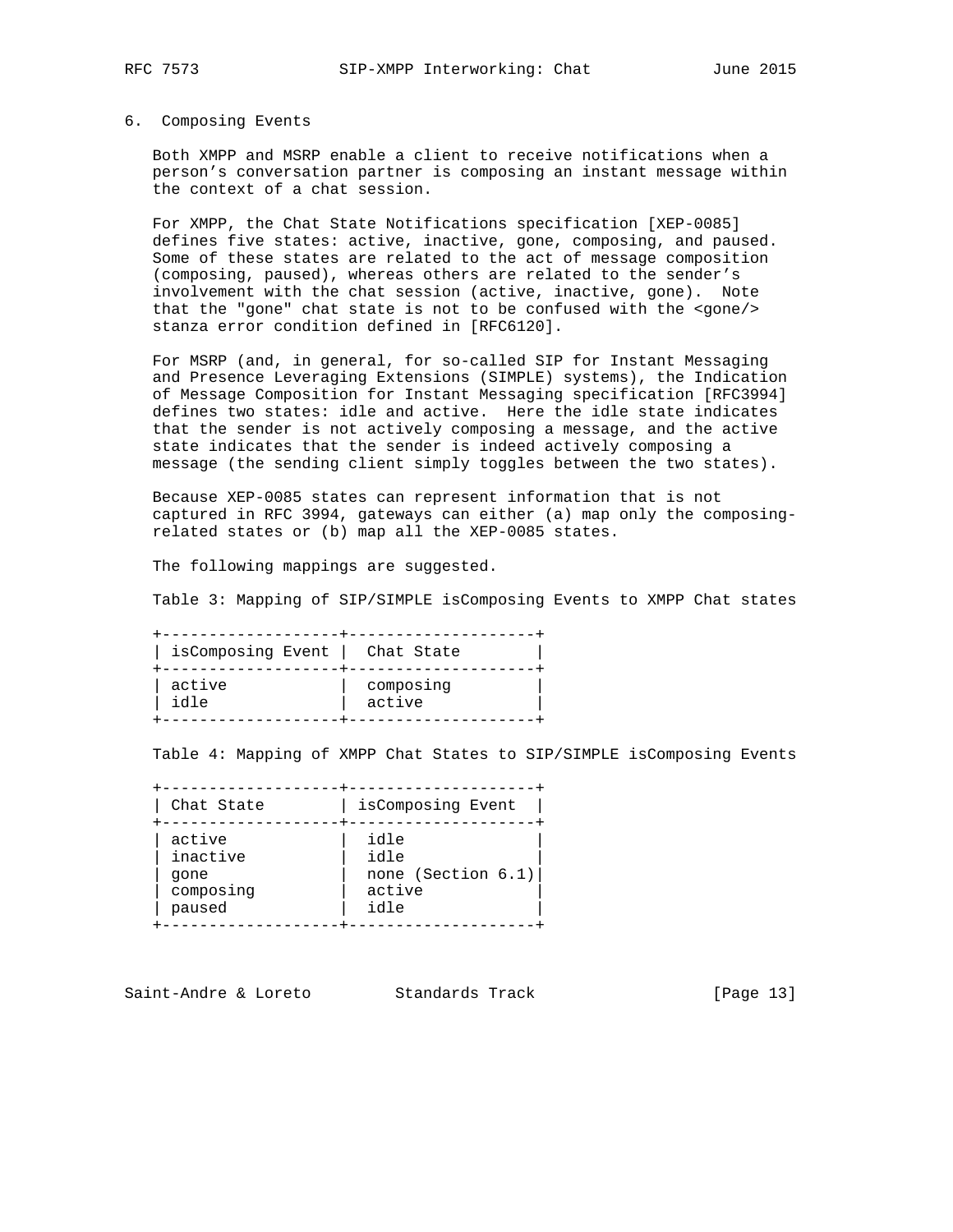### 6. Composing Events

 Both XMPP and MSRP enable a client to receive notifications when a person's conversation partner is composing an instant message within the context of a chat session.

 For XMPP, the Chat State Notifications specification [XEP-0085] defines five states: active, inactive, gone, composing, and paused. Some of these states are related to the act of message composition (composing, paused), whereas others are related to the sender's involvement with the chat session (active, inactive, gone). Note that the "gone" chat state is not to be confused with the <gone/> stanza error condition defined in [RFC6120].

 For MSRP (and, in general, for so-called SIP for Instant Messaging and Presence Leveraging Extensions (SIMPLE) systems), the Indication of Message Composition for Instant Messaging specification [RFC3994] defines two states: idle and active. Here the idle state indicates that the sender is not actively composing a message, and the active state indicates that the sender is indeed actively composing a message (the sending client simply toggles between the two states).

 Because XEP-0085 states can represent information that is not captured in RFC 3994, gateways can either (a) map only the composing related states or (b) map all the XEP-0085 states.

The following mappings are suggested.

Table 3: Mapping of SIP/SIMPLE isComposing Events to XMPP Chat states

| isComposing Event | Chat State |
|-------------------|------------|
| active            | composing  |
| idle              | active     |

Table 4: Mapping of XMPP Chat States to SIP/SIMPLE isComposing Events

 +-------------------+--------------------+ | Chat State | isComposing Event +-------------------+--------------------+ | active | idle | | | inactive | idle | | | gone | none (Section 6.1)| | composing | active | | paused  $|$  idle  $|$ 

+-------------------+--------------------+

Saint-Andre & Loreto Standards Track [Page 13]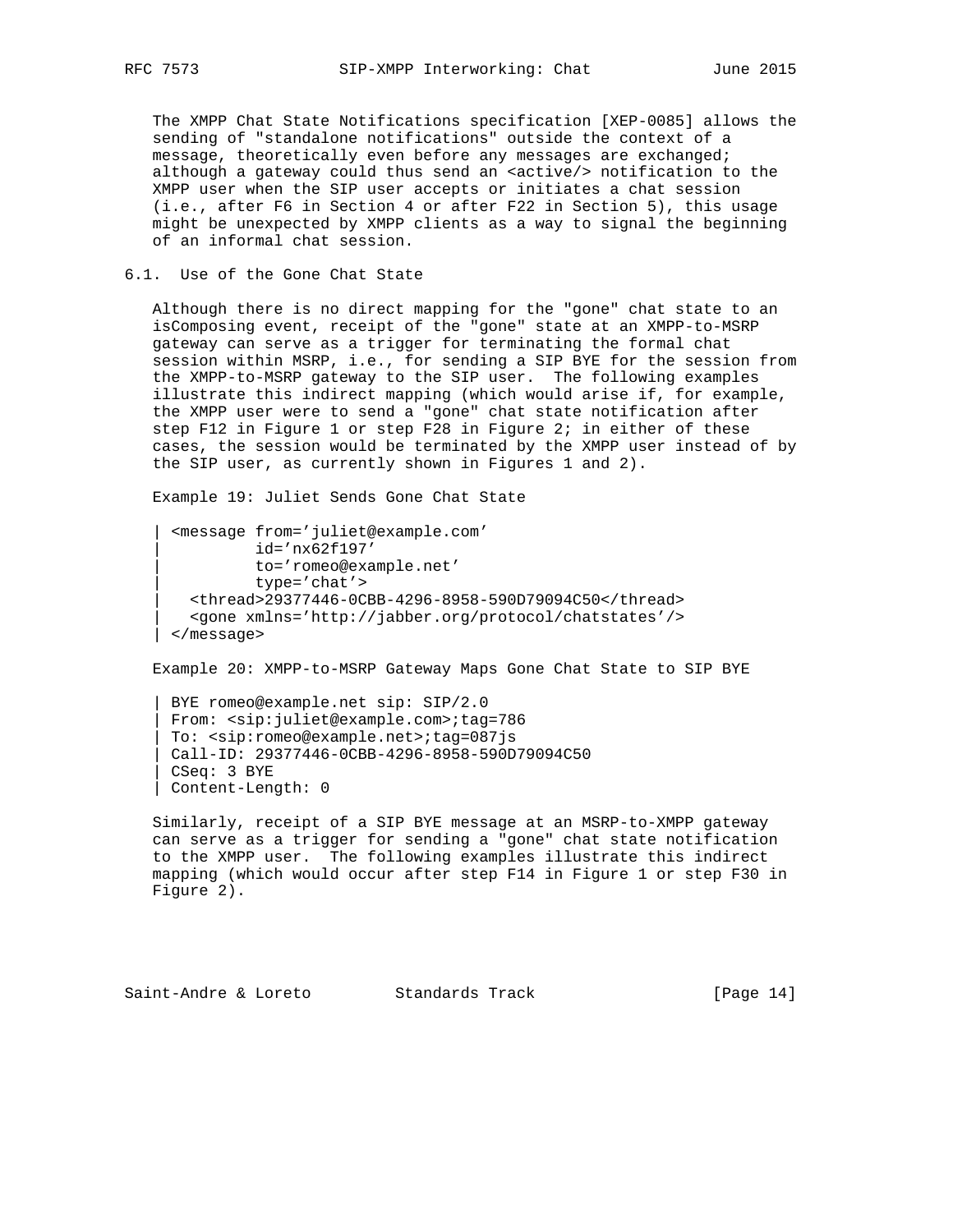The XMPP Chat State Notifications specification [XEP-0085] allows the sending of "standalone notifications" outside the context of a message, theoretically even before any messages are exchanged; although a gateway could thus send an <active/> notification to the XMPP user when the SIP user accepts or initiates a chat session (i.e., after F6 in Section 4 or after F22 in Section 5), this usage might be unexpected by XMPP clients as a way to signal the beginning of an informal chat session.

6.1. Use of the Gone Chat State

 Although there is no direct mapping for the "gone" chat state to an isComposing event, receipt of the "gone" state at an XMPP-to-MSRP gateway can serve as a trigger for terminating the formal chat session within MSRP, i.e., for sending a SIP BYE for the session from the XMPP-to-MSRP gateway to the SIP user. The following examples illustrate this indirect mapping (which would arise if, for example, the XMPP user were to send a "gone" chat state notification after step F12 in Figure 1 or step F28 in Figure 2; in either of these cases, the session would be terminated by the XMPP user instead of by the SIP user, as currently shown in Figures 1 and 2).

Example 19: Juliet Sends Gone Chat State

```
 | <message from='juliet@example.com'
            | id='nx62f197'
            | to='romeo@example.net'
            | type='chat'>
    | <thread>29377446-0CBB-4296-8958-590D79094C50</thread>
    | <gone xmlns='http://jabber.org/protocol/chatstates'/>
  | </message>
```
Example 20: XMPP-to-MSRP Gateway Maps Gone Chat State to SIP BYE

 | BYE romeo@example.net sip: SIP/2.0 | From: <sip:juliet@example.com>;tag=786 | To: <sip:romeo@example.net>;tag=087js | Call-ID: 29377446-0CBB-4296-8958-590D79094C50 | CSeq: 3 BYE | Content-Length: 0

 Similarly, receipt of a SIP BYE message at an MSRP-to-XMPP gateway can serve as a trigger for sending a "gone" chat state notification to the XMPP user. The following examples illustrate this indirect mapping (which would occur after step F14 in Figure 1 or step F30 in Figure 2).

Saint-Andre & Loreto Standards Track [Page 14]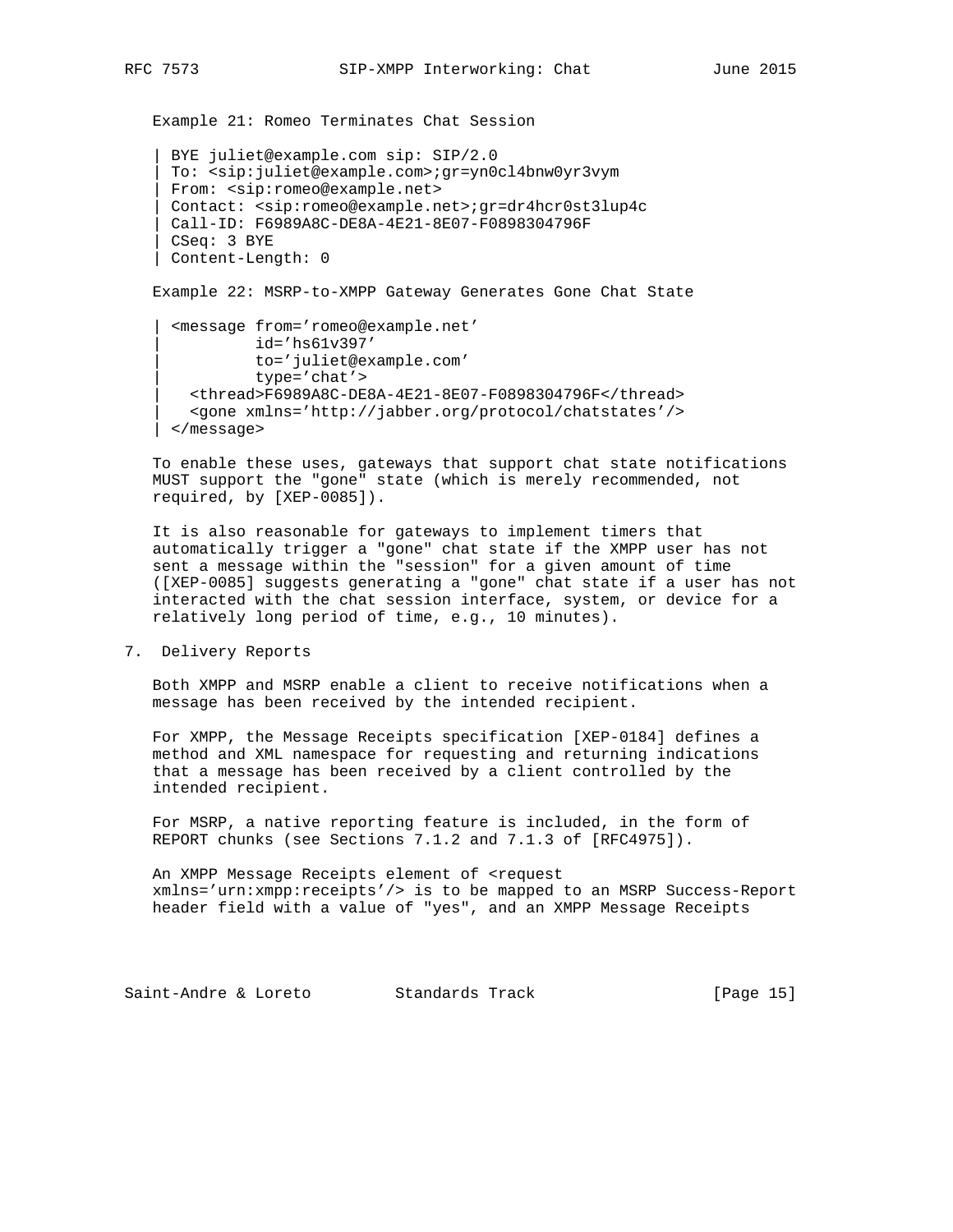Example 21: Romeo Terminates Chat Session

```
 | BYE juliet@example.com sip: SIP/2.0
  | To: <sip:juliet@example.com>;gr=yn0cl4bnw0yr3vym
 | From: <sip:romeo@example.net>
 | Contact: <sip:romeo@example.net>;gr=dr4hcr0st3lup4c
 | Call-ID: F6989A8C-DE8A-4E21-8E07-F0898304796F
 | CSeq: 3 BYE
 | Content-Length: 0
```
Example 22: MSRP-to-XMPP Gateway Generates Gone Chat State

```
 | <message from='romeo@example.net'
            | id='hs61v397'
            | to='juliet@example.com'
            | type='chat'>
    | <thread>F6989A8C-DE8A-4E21-8E07-F0898304796F</thread>
    | <gone xmlns='http://jabber.org/protocol/chatstates'/>
 | </message>
```
 To enable these uses, gateways that support chat state notifications MUST support the "gone" state (which is merely recommended, not required, by [XEP-0085]).

 It is also reasonable for gateways to implement timers that automatically trigger a "gone" chat state if the XMPP user has not sent a message within the "session" for a given amount of time ([XEP-0085] suggests generating a "gone" chat state if a user has not interacted with the chat session interface, system, or device for a relatively long period of time, e.g., 10 minutes).

7. Delivery Reports

 Both XMPP and MSRP enable a client to receive notifications when a message has been received by the intended recipient.

 For XMPP, the Message Receipts specification [XEP-0184] defines a method and XML namespace for requesting and returning indications that a message has been received by a client controlled by the intended recipient.

 For MSRP, a native reporting feature is included, in the form of REPORT chunks (see Sections 7.1.2 and 7.1.3 of [RFC4975]).

 An XMPP Message Receipts element of <request xmlns='urn:xmpp:receipts'/> is to be mapped to an MSRP Success-Report header field with a value of "yes", and an XMPP Message Receipts

Saint-Andre & Loreto Standards Track [Page 15]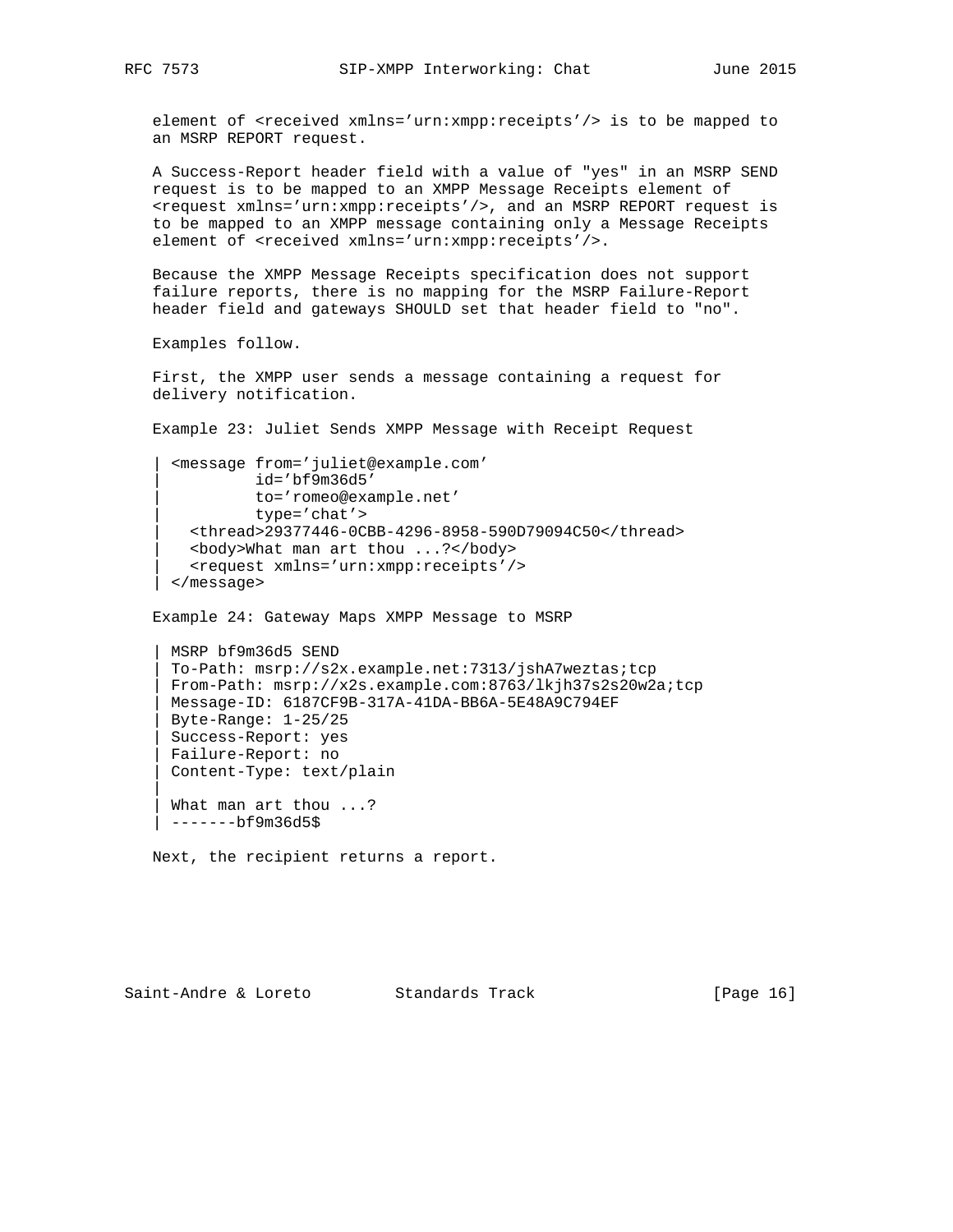|| || || ||

element of <received xmlns='urn:xmpp:receipts'/> is to be mapped to an MSRP REPORT request.

 A Success-Report header field with a value of "yes" in an MSRP SEND request is to be mapped to an XMPP Message Receipts element of <request xmlns='urn:xmpp:receipts'/>, and an MSRP REPORT request is to be mapped to an XMPP message containing only a Message Receipts element of <received xmlns='urn:xmpp:receipts'/>.

 Because the XMPP Message Receipts specification does not support failure reports, there is no mapping for the MSRP Failure-Report header field and gateways SHOULD set that header field to "no".

Examples follow.

 First, the XMPP user sends a message containing a request for delivery notification.

Example 23: Juliet Sends XMPP Message with Receipt Request

```
 | <message from='juliet@example.com'
           | id='bf9m36d5'
           | to='romeo@example.net'
           | type='chat'>
   | <thread>29377446-0CBB-4296-8958-590D79094C50</thread>
   | <body>What man art thou ...?</body>
   | <request xmlns='urn:xmpp:receipts'/>
 | </message>
```
Example 24: Gateway Maps XMPP Message to MSRP

 | MSRP bf9m36d5 SEND | To-Path: msrp://s2x.example.net:7313/jshA7weztas;tcp | From-Path: msrp://x2s.example.com:8763/lkjh37s2s20w2a;tcp | Message-ID: 6187CF9B-317A-41DA-BB6A-5E48A9C794EF | Byte-Range: 1-25/25 | Success-Report: yes | Failure-Report: no | Content-Type: text/plain What man art thou ...? | -------bf9m36d5\$

Next, the recipient returns a report.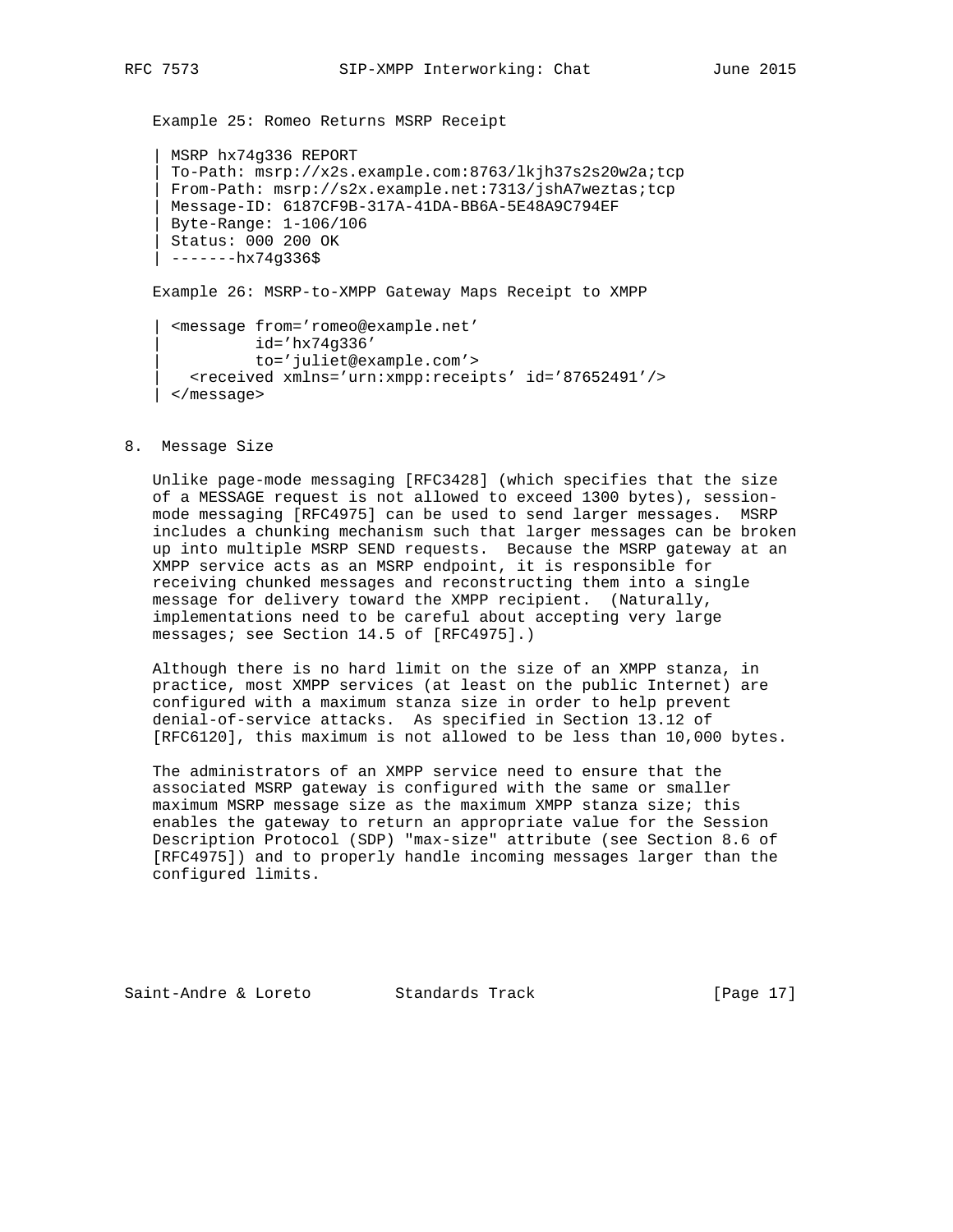Example 25: Romeo Returns MSRP Receipt

 | MSRP hx74g336 REPORT | To-Path: msrp://x2s.example.com:8763/lkjh37s2s20w2a;tcp | From-Path: msrp://s2x.example.net:7313/jshA7weztas;tcp | Message-ID: 6187CF9B-317A-41DA-BB6A-5E48A9C794EF | Byte-Range: 1-106/106 | Status: 000 200 OK | -------hx74g336\$

Example 26: MSRP-to-XMPP Gateway Maps Receipt to XMPP

```
 | <message from='romeo@example.net'
           | id='hx74g336'
           | to='juliet@example.com'>
   | <received xmlns='urn:xmpp:receipts' id='87652491'/>
 | </message>
```
#### 8. Message Size

 Unlike page-mode messaging [RFC3428] (which specifies that the size of a MESSAGE request is not allowed to exceed 1300 bytes), session mode messaging [RFC4975] can be used to send larger messages. MSRP includes a chunking mechanism such that larger messages can be broken up into multiple MSRP SEND requests. Because the MSRP gateway at an XMPP service acts as an MSRP endpoint, it is responsible for receiving chunked messages and reconstructing them into a single message for delivery toward the XMPP recipient. (Naturally, implementations need to be careful about accepting very large messages; see Section 14.5 of [RFC4975].)

 Although there is no hard limit on the size of an XMPP stanza, in practice, most XMPP services (at least on the public Internet) are configured with a maximum stanza size in order to help prevent denial-of-service attacks. As specified in Section 13.12 of [RFC6120], this maximum is not allowed to be less than 10,000 bytes.

 The administrators of an XMPP service need to ensure that the associated MSRP gateway is configured with the same or smaller maximum MSRP message size as the maximum XMPP stanza size; this enables the gateway to return an appropriate value for the Session Description Protocol (SDP) "max-size" attribute (see Section 8.6 of [RFC4975]) and to properly handle incoming messages larger than the configured limits.

Saint-Andre & Loreto Standards Track [Page 17]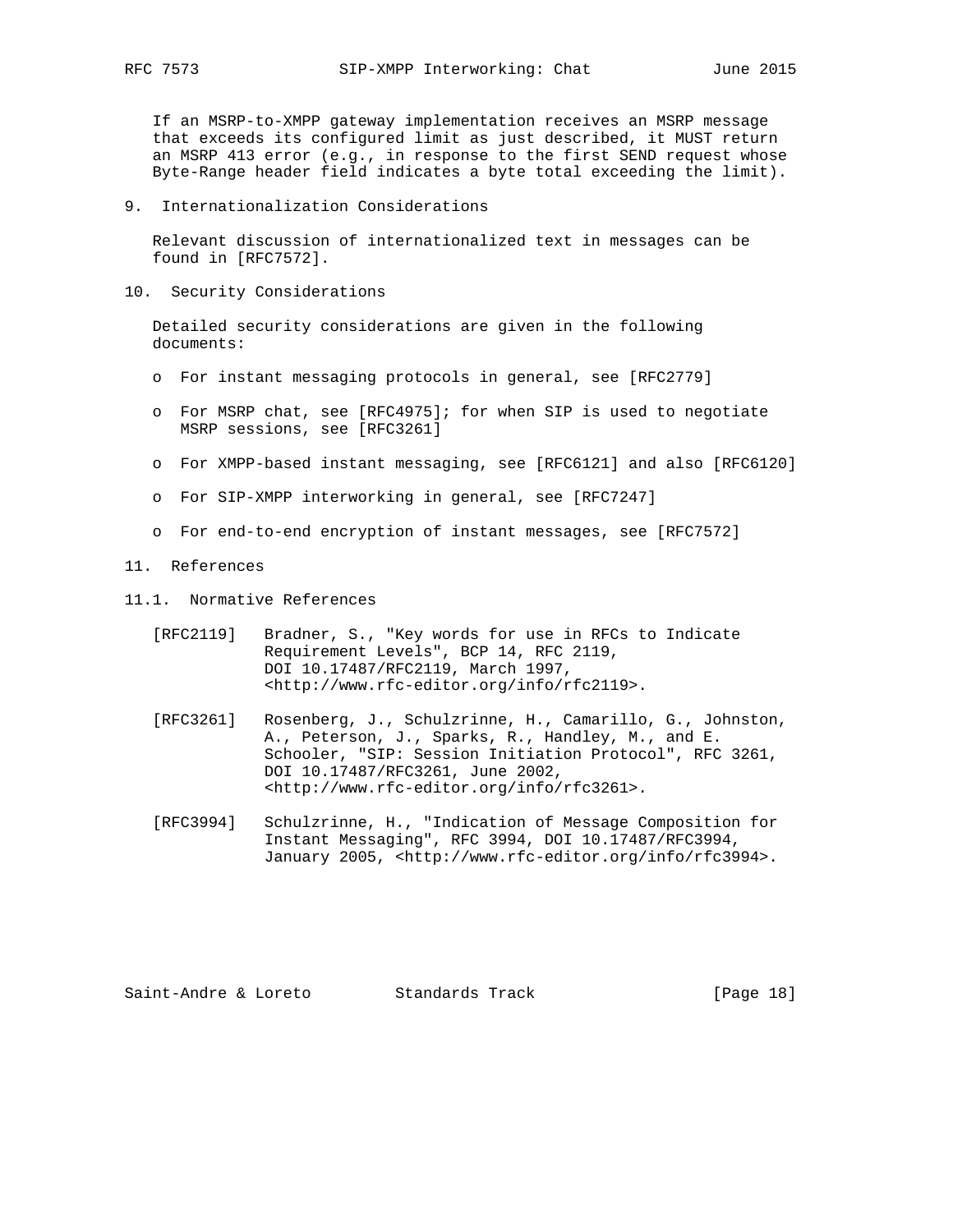If an MSRP-to-XMPP gateway implementation receives an MSRP message that exceeds its configured limit as just described, it MUST return an MSRP 413 error (e.g., in response to the first SEND request whose Byte-Range header field indicates a byte total exceeding the limit).

9. Internationalization Considerations

 Relevant discussion of internationalized text in messages can be found in [RFC7572].

10. Security Considerations

 Detailed security considerations are given in the following documents:

- o For instant messaging protocols in general, see [RFC2779]
- o For MSRP chat, see [RFC4975]; for when SIP is used to negotiate MSRP sessions, see [RFC3261]
- o For XMPP-based instant messaging, see [RFC6121] and also [RFC6120]
- o For SIP-XMPP interworking in general, see [RFC7247]
- o For end-to-end encryption of instant messages, see [RFC7572]
- 11. References
- 11.1. Normative References
	- [RFC2119] Bradner, S., "Key words for use in RFCs to Indicate Requirement Levels", BCP 14, RFC 2119, DOI 10.17487/RFC2119, March 1997, <http://www.rfc-editor.org/info/rfc2119>.
	- [RFC3261] Rosenberg, J., Schulzrinne, H., Camarillo, G., Johnston, A., Peterson, J., Sparks, R., Handley, M., and E. Schooler, "SIP: Session Initiation Protocol", RFC 3261, DOI 10.17487/RFC3261, June 2002, <http://www.rfc-editor.org/info/rfc3261>.
	- [RFC3994] Schulzrinne, H., "Indication of Message Composition for Instant Messaging", RFC 3994, DOI 10.17487/RFC3994, January 2005, <http://www.rfc-editor.org/info/rfc3994>.

Saint-Andre & Loreto Standards Track [Page 18]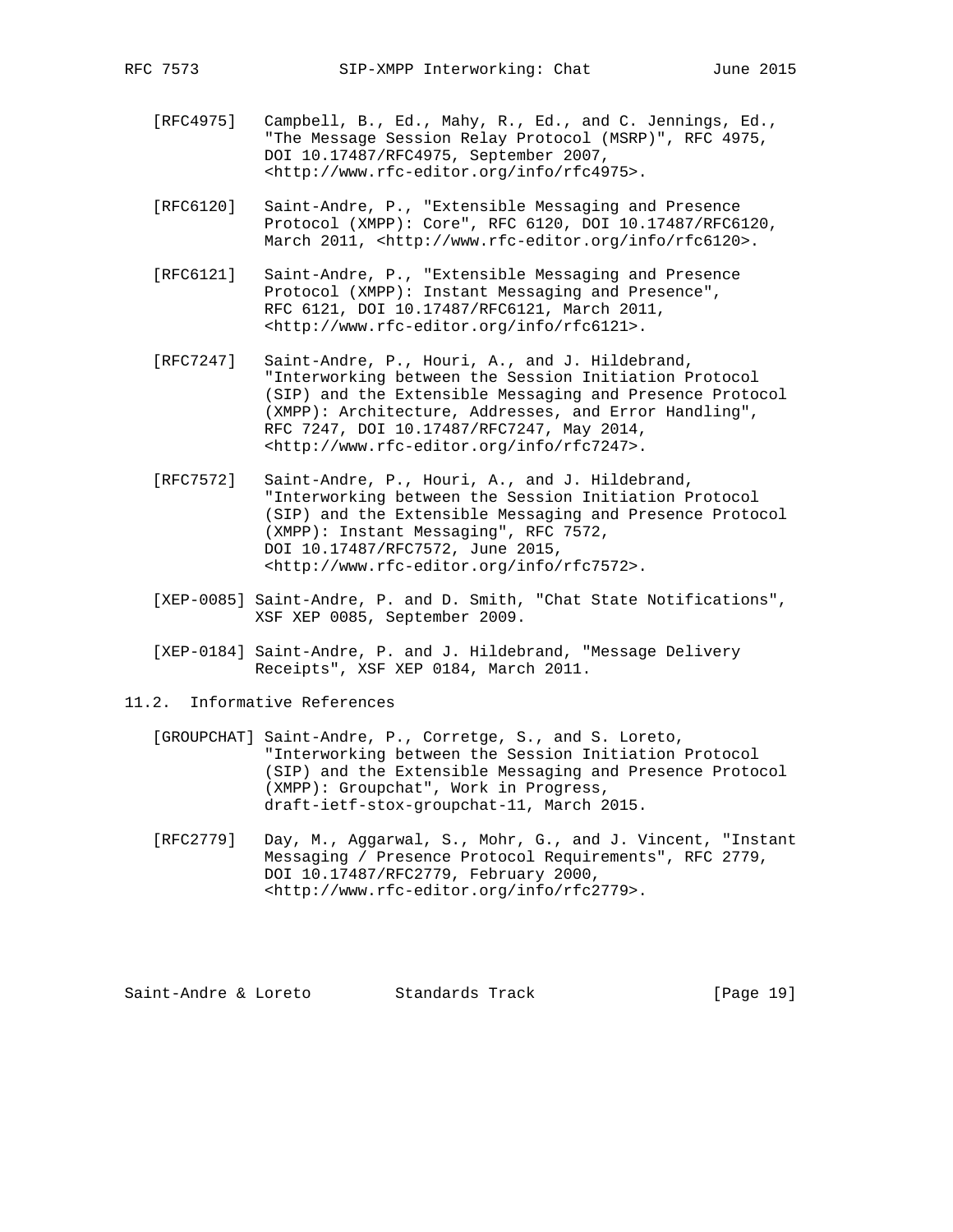- [RFC4975] Campbell, B., Ed., Mahy, R., Ed., and C. Jennings, Ed., "The Message Session Relay Protocol (MSRP)", RFC 4975, DOI 10.17487/RFC4975, September 2007, <http://www.rfc-editor.org/info/rfc4975>.
- [RFC6120] Saint-Andre, P., "Extensible Messaging and Presence Protocol (XMPP): Core", RFC 6120, DOI 10.17487/RFC6120, March 2011, <http://www.rfc-editor.org/info/rfc6120>.
- [RFC6121] Saint-Andre, P., "Extensible Messaging and Presence Protocol (XMPP): Instant Messaging and Presence", RFC 6121, DOI 10.17487/RFC6121, March 2011, <http://www.rfc-editor.org/info/rfc6121>.
- [RFC7247] Saint-Andre, P., Houri, A., and J. Hildebrand, "Interworking between the Session Initiation Protocol (SIP) and the Extensible Messaging and Presence Protocol (XMPP): Architecture, Addresses, and Error Handling", RFC 7247, DOI 10.17487/RFC7247, May 2014, <http://www.rfc-editor.org/info/rfc7247>.
- [RFC7572] Saint-Andre, P., Houri, A., and J. Hildebrand, "Interworking between the Session Initiation Protocol (SIP) and the Extensible Messaging and Presence Protocol (XMPP): Instant Messaging", RFC 7572, DOI 10.17487/RFC7572, June 2015, <http://www.rfc-editor.org/info/rfc7572>.
- [XEP-0085] Saint-Andre, P. and D. Smith, "Chat State Notifications", XSF XEP 0085, September 2009.
- [XEP-0184] Saint-Andre, P. and J. Hildebrand, "Message Delivery Receipts", XSF XEP 0184, March 2011.
- 11.2. Informative References
	- [GROUPCHAT] Saint-Andre, P., Corretge, S., and S. Loreto, "Interworking between the Session Initiation Protocol (SIP) and the Extensible Messaging and Presence Protocol (XMPP): Groupchat", Work in Progress, draft-ietf-stox-groupchat-11, March 2015.
	- [RFC2779] Day, M., Aggarwal, S., Mohr, G., and J. Vincent, "Instant Messaging / Presence Protocol Requirements", RFC 2779, DOI 10.17487/RFC2779, February 2000, <http://www.rfc-editor.org/info/rfc2779>.

Saint-Andre & Loreto Standards Track [Page 19]